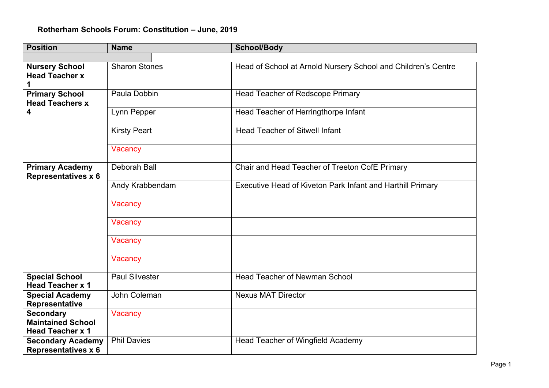## **Rotherham Schools Forum: Constitution – June, 2019**

| <b>Position</b>                                                         | <b>Name</b>           | <b>School/Body</b>                                            |
|-------------------------------------------------------------------------|-----------------------|---------------------------------------------------------------|
|                                                                         |                       |                                                               |
| <b>Nursery School</b><br><b>Head Teacher x</b><br>1                     | <b>Sharon Stones</b>  | Head of School at Arnold Nursery School and Children's Centre |
| <b>Primary School</b><br><b>Head Teachers x</b>                         | Paula Dobbin          | Head Teacher of Redscope Primary                              |
| 4                                                                       | Lynn Pepper           | Head Teacher of Herringthorpe Infant                          |
|                                                                         | <b>Kirsty Peart</b>   | <b>Head Teacher of Sitwell Infant</b>                         |
|                                                                         | Vacancy               |                                                               |
| <b>Primary Academy</b><br><b>Representatives x 6</b>                    | Deborah Ball          | Chair and Head Teacher of Treeton CofE Primary                |
|                                                                         | Andy Krabbendam       | Executive Head of Kiveton Park Infant and Harthill Primary    |
|                                                                         | Vacancy               |                                                               |
|                                                                         | Vacancy               |                                                               |
|                                                                         | Vacancy               |                                                               |
|                                                                         | Vacancy               |                                                               |
| <b>Special School</b><br><b>Head Teacher x 1</b>                        | <b>Paul Silvester</b> | <b>Head Teacher of Newman School</b>                          |
| <b>Special Academy</b><br>Representative                                | John Coleman          | <b>Nexus MAT Director</b>                                     |
| <b>Secondary</b><br><b>Maintained School</b><br><b>Head Teacher x 1</b> | Vacancy               |                                                               |
| <b>Secondary Academy</b><br><b>Representatives x 6</b>                  | <b>Phil Davies</b>    | Head Teacher of Wingfield Academy                             |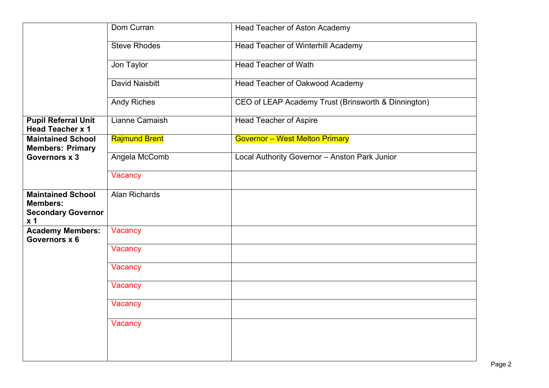|                                                                                            | Dom Curran            | Head Teacher of Aston Academy                       |
|--------------------------------------------------------------------------------------------|-----------------------|-----------------------------------------------------|
|                                                                                            | <b>Steve Rhodes</b>   | <b>Head Teacher of Winterhill Academy</b>           |
|                                                                                            | Jon Taylor            | <b>Head Teacher of Wath</b>                         |
|                                                                                            | <b>David Naisbitt</b> | Head Teacher of Oakwood Academy                     |
|                                                                                            | <b>Andy Riches</b>    | CEO of LEAP Academy Trust (Brinsworth & Dinnington) |
| <b>Pupil Referral Unit</b><br><b>Head Teacher x 1</b>                                      | Lianne Camaish        | <b>Head Teacher of Aspire</b>                       |
| <b>Maintained School</b><br><b>Members: Primary</b>                                        | Rajmund Brent         | <b>Governor - West Melton Primary</b>               |
| Governors x 3                                                                              | Angela McComb         | Local Authority Governor - Anston Park Junior       |
|                                                                                            | Vacancy               |                                                     |
| <b>Maintained School</b><br><b>Members:</b><br><b>Secondary Governor</b><br>x <sub>1</sub> | <b>Alan Richards</b>  |                                                     |
| <b>Academy Members:</b><br>Governors x 6                                                   | Vacancy               |                                                     |
|                                                                                            | Vacancy               |                                                     |
|                                                                                            | Vacancy               |                                                     |
|                                                                                            | Vacancy               |                                                     |
|                                                                                            | Vacancy               |                                                     |
|                                                                                            | Vacancy               |                                                     |
|                                                                                            |                       |                                                     |
|                                                                                            |                       |                                                     |